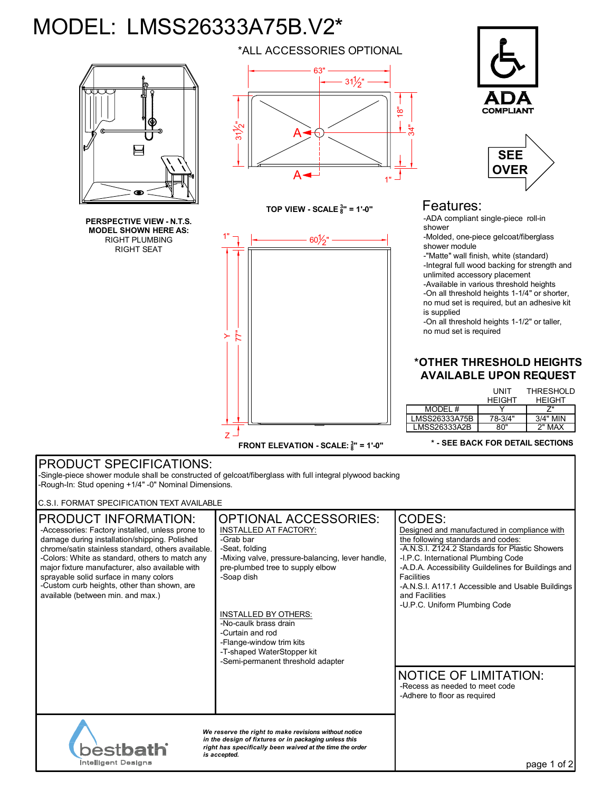## MODEL: LMSS26333A75B.V2\*



**PERSPECTIVE VIEW - N.T.S. MODEL SHOWN HERE AS:** RIGHT PLUMBING RIGHT SEAT



**TOP VIEW - SCALE <sup>3</sup> <sup>8</sup>" = 1'-0"**







## Features:

-ADA compliant single-piece roll-in shower

-Molded, one-piece gelcoat/fiberglass shower module

-"Matte" wall finish, white (standard) -Integral full wood backing for strength and unlimited accessory placement -Available in various threshold heights -On all threshold heights 1-1/4" or shorter,

no mud set is required, but an adhesive kit is supplied

-On all threshold heights 1-1/2" or taller, no mud set is required

## **\*OTHER THRESHOLD HEIGHTS AVAILABLE UPON REQUEST**

|               | UNIT<br><b>HEIGHT</b> | THRESHOLD<br><b>HEIGHT</b> |
|---------------|-----------------------|----------------------------|
| MODEL #       |                       |                            |
| LMSS26333A75B | 78-3/4"               | $3/4"$ MIN                 |
| LMSS26333A2B  | ጸበ"                   | <b>2" MAX</b>              |

**\* - SEE BACK FOR DETAIL SECTIONS**

## PRODUCT SPECIFICATIONS:

-Single-piece shower module shall be constructed of gelcoat/fiberglass with full integral plywood backing -Rough-In: Stud opening +1/4" -0" Nominal Dimensions.

C.S.I. FORMAT SPECIFICATION TEXT AVAILABLE